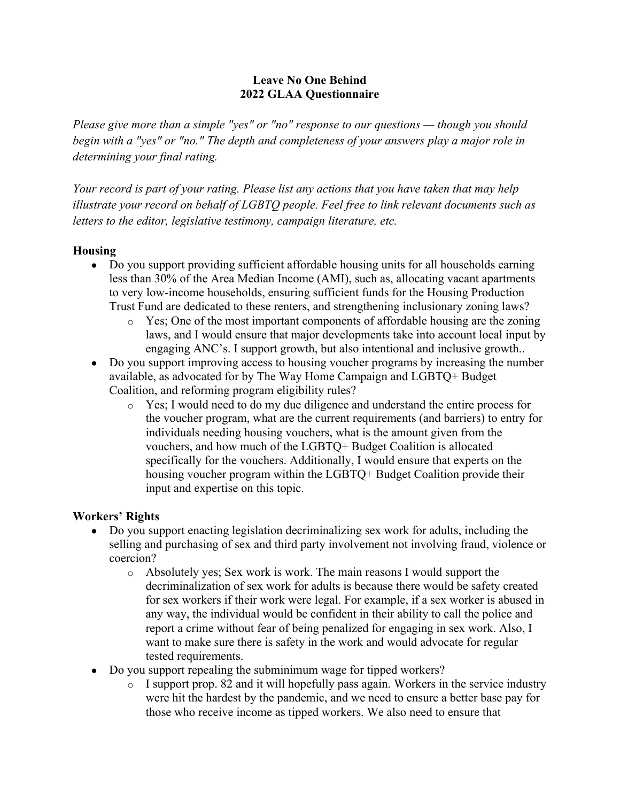## **Leave No One Behind 2022 GLAA Questionnaire**

*Please give more than a simple "yes" or "no" response to our questions — though you should begin with a "yes" or "no." The depth and completeness of your answers play a major role in determining your final rating.*

*Your record is part of your rating. Please list any actions that you have taken that may help illustrate your record on behalf of LGBTQ people. Feel free to link relevant documents such as letters to the editor, legislative testimony, campaign literature, etc.*

# **Housing**

- Do you support providing sufficient affordable housing units for all households earning less than 30% of the Area Median Income (AMI), such as, allocating vacant apartments to very low-income households, ensuring sufficient funds for the Housing Production Trust Fund are dedicated to these renters, and strengthening inclusionary zoning laws?
	- o Yes; One of the most important components of affordable housing are the zoning laws, and I would ensure that major developments take into account local input by engaging ANC's. I support growth, but also intentional and inclusive growth..
- Do you support improving access to housing voucher programs by increasing the number available, as advocated for by The Way Home Campaign and LGBTQ+ Budget Coalition, and reforming program eligibility rules?
	- o Yes; I would need to do my due diligence and understand the entire process for the voucher program, what are the current requirements (and barriers) to entry for individuals needing housing vouchers, what is the amount given from the vouchers, and how much of the LGBTQ+ Budget Coalition is allocated specifically for the vouchers. Additionally, I would ensure that experts on the housing voucher program within the LGBTQ+ Budget Coalition provide their input and expertise on this topic.

## **Workers' Rights**

- Do you support enacting legislation decriminalizing sex work for adults, including the selling and purchasing of sex and third party involvement not involving fraud, violence or coercion?
	- o Absolutely yes; Sex work is work. The main reasons I would support the decriminalization of sex work for adults is because there would be safety created for sex workers if their work were legal. For example, if a sex worker is abused in any way, the individual would be confident in their ability to call the police and report a crime without fear of being penalized for engaging in sex work. Also, I want to make sure there is safety in the work and would advocate for regular tested requirements.
- Do you support repealing the subminimum wage for tipped workers?
	- $\circ$  I support prop. 82 and it will hopefully pass again. Workers in the service industry were hit the hardest by the pandemic, and we need to ensure a better base pay for those who receive income as tipped workers. We also need to ensure that